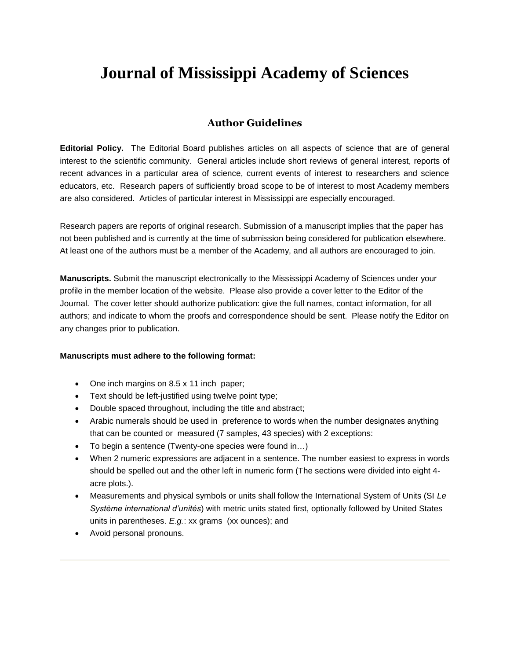# **Journal of Mississippi Academy of Sciences**

## **Author Guidelines**

**Editorial Policy.** The Editorial Board publishes articles on all aspects of science that are of general interest to the scientific community. General articles include short reviews of general interest, reports of recent advances in a particular area of science, current events of interest to researchers and science educators, etc. Research papers of sufficiently broad scope to be of interest to most Academy members are also considered. Articles of particular interest in Mississippi are especially encouraged.

Research papers are reports of original research. Submission of a manuscript implies that the paper has not been published and is currently at the time of submission being considered for publication elsewhere. At least one of the authors must be a member of the Academy, and all authors are encouraged to join.

**Manuscripts.** Submit the manuscript electronically to the Mississippi Academy of Sciences under your profile in the member location of the website. Please also provide a cover letter to the Editor of the Journal. The cover letter should authorize publication: give the full names, contact information, for all authors; and indicate to whom the proofs and correspondence should be sent. Please notify the Editor on any changes prior to publication.

#### **Manuscripts must adhere to the following format:**

- One inch margins on 8.5 x 11 inch paper;
- Text should be left-justified using twelve point type;
- Double spaced throughout, including the title and abstract;
- Arabic numerals should be used in preference to words when the number designates anything that can be counted or measured (7 samples, 43 species) with 2 exceptions:
- To begin a sentence (Twenty-one species were found in…)
- When 2 numeric expressions are adjacent in a sentence. The number easiest to express in words should be spelled out and the other left in numeric form (The sections were divided into eight 4 acre plots.).
- Measurements and physical symbols or units shall follow the International System of Units (SI *Le Système international d'unités*) with metric units stated first, optionally followed by United States units in parentheses. *E.g.*: xx grams (xx ounces); and
- Avoid personal pronouns.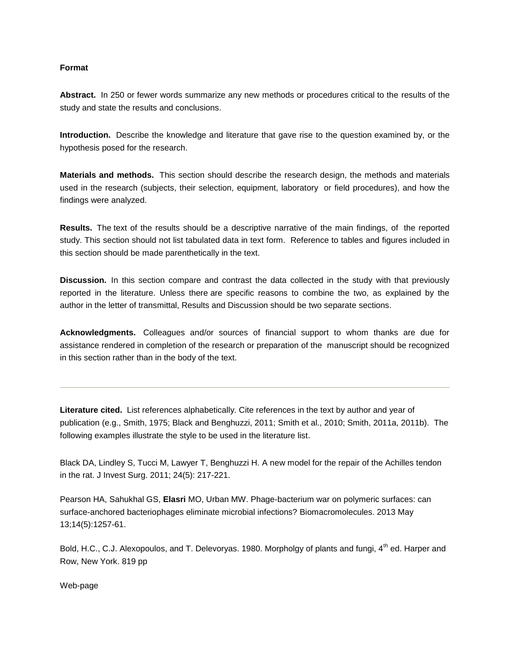#### **Format**

**Abstract.** In 250 or fewer words summarize any new methods or procedures critical to the results of the study and state the results and conclusions.

**Introduction.** Describe the knowledge and literature that gave rise to the question examined by, or the hypothesis posed for the research.

**Materials and methods.** This section should describe the research design, the methods and materials used in the research (subjects, their selection, equipment, laboratory or field procedures), and how the findings were analyzed.

**Results.** The text of the results should be a descriptive narrative of the main findings, of the reported study. This section should not list tabulated data in text form. Reference to tables and figures included in this section should be made parenthetically in the text.

**Discussion.** In this section compare and contrast the data collected in the study with that previously reported in the literature. Unless there are specific reasons to combine the two, as explained by the author in the letter of transmittal, Results and Discussion should be two separate sections.

**Acknowledgments.** Colleagues and/or sources of financial support to whom thanks are due for assistance rendered in completion of the research or preparation of the manuscript should be recognized in this section rather than in the body of the text.

**Literature cited.** List references alphabetically. Cite references in the text by author and year of publication (e.g., Smith, 1975; Black and Benghuzzi, 2011; Smith et al., 2010; Smith, 2011a, 2011b). The following examples illustrate the style to be used in the literature list.

Black DA, Lindley S, Tucci M, Lawyer T, Benghuzzi H. A new model for the repair of the Achilles tendon in the rat. J Invest Surg. 2011; 24(5): 217-221.

Pearson HA, Sahukhal GS, **Elasri** MO, Urban MW. [Phage-bacterium war on polymeric surfaces: can](http://www.ncbi.nlm.nih.gov/pubmed/23590700)  [surface-anchored bacteriophages eliminate microbial infections?](http://www.ncbi.nlm.nih.gov/pubmed/23590700) Biomacromolecules. 2013 May 13;14(5):1257-61.

Bold, H.C., C.J. Alexopoulos, and T. Delevoryas. 1980. Morpholgy of plants and fungi, 4<sup>th</sup> ed. Harper and Row, New York. 819 pp

Web-page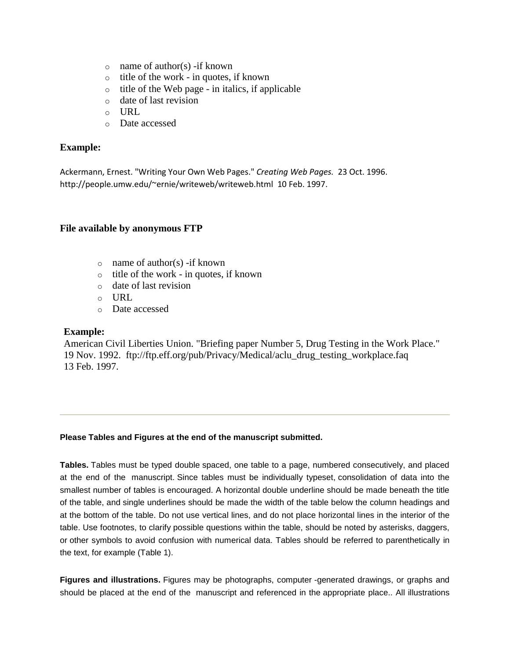- $\circ$  name of author(s) -if known
- o title of the work in quotes, if known
- $\circ$  title of the Web page in italics, if applicable
- o date of last revision
- $\circ$  URL
- o Date accessed

## **Example:**

Ackermann, Ernest. "Writing Your Own Web Pages." *Creating Web Pages.* 23 Oct. 1996. http://people.umw.edu/~ernie/writeweb/writeweb.html 10 Feb. 1997.

### **File available by anonymous FTP**

- $\circ$  name of author(s) -if known
- o title of the work in quotes, if known
- o date of last revision
- $\circ$  URL
- o Date accessed

### **Example:**

American Civil Liberties Union. "Briefing paper Number 5, Drug Testing in the Work Place." 19 Nov. 1992. ftp://ftp.eff.org/pub/Privacy/Medical/aclu\_drug\_testing\_workplace.faq 13 Feb. 1997.

### **Please Tables and Figures at the end of the manuscript submitted.**

**Tables.** Tables must be typed double spaced, one table to a page, numbered consecutively, and placed at the end of the manuscript. Since tables must be individually typeset, consolidation of data into the smallest number of tables is encouraged. A horizontal double underline should be made beneath the title of the table, and single underlines should be made the width of the table below the column headings and at the bottom of the table. Do not use vertical lines, and do not place horizontal lines in the interior of the table. Use footnotes, to clarify possible questions within the table, should be noted by asterisks, daggers, or other symbols to avoid confusion with numerical data. Tables should be referred to parenthetically in the text, for example (Table 1).

**Figures and illustrations.** Figures may be photographs, computer -generated drawings, or graphs and should be placed at the end of the manuscript and referenced in the appropriate place.. All illustrations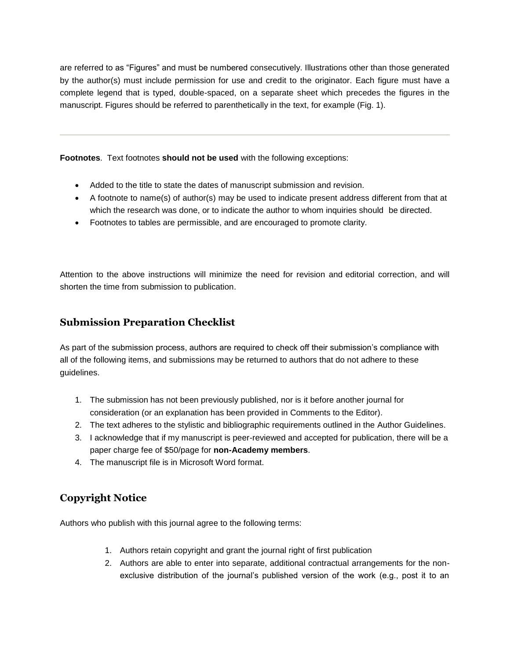are referred to as "Figures" and must be numbered consecutively. Illustrations other than those generated by the author(s) must include permission for use and credit to the originator. Each figure must have a complete legend that is typed, double-spaced, on a separate sheet which precedes the figures in the manuscript. Figures should be referred to parenthetically in the text, for example (Fig. 1).

**Footnotes**. Text footnotes **should not be used** with the following exceptions:

- Added to the title to state the dates of manuscript submission and revision.
- A footnote to name(s) of author(s) may be used to indicate present address different from that at which the research was done, or to indicate the author to whom inquiries should be directed.
- Footnotes to tables are permissible, and are encouraged to promote clarity.

Attention to the above instructions will minimize the need for revision and editorial correction, and will shorten the time from submission to publication.

## **Submission Preparation Checklist**

As part of the submission process, authors are required to check off their submission's compliance with all of the following items, and submissions may be returned to authors that do not adhere to these guidelines.

- 1. The submission has not been previously published, nor is it before another journal for consideration (or an explanation has been provided in Comments to the Editor).
- 2. The text adheres to the stylistic and bibliographic requirements outlined in the [Author Guidelines.](http://library.osu.edu/ojs/index.php/OJS/about/submissions#authorGuidelines)
- 3. I acknowledge that if my manuscript is peer-reviewed and accepted for publication, there will be a paper charge fee of \$50/page for **non-Academy members**.
- 4. The manuscript file is in Microsoft Word format.

# **Copyright Notice**

Authors who publish with this journal agree to the following terms:

- 1. Authors retain copyright and grant the journal right of first publication
- 2. Authors are able to enter into separate, additional contractual arrangements for the nonexclusive distribution of the journal's published version of the work (e.g., post it to an